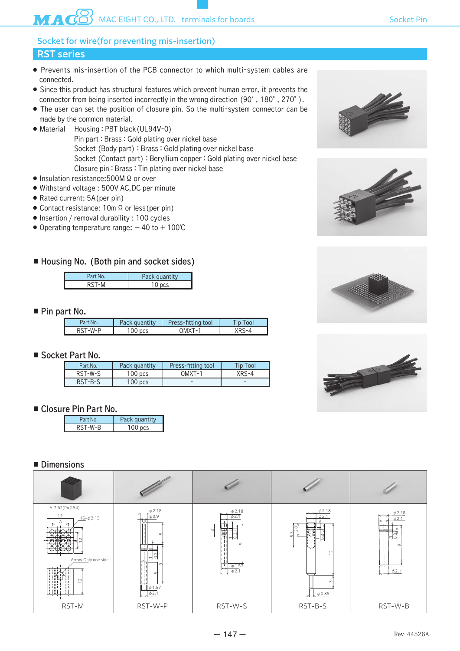# Socket for wire(for preventing mis-insertion)

## **RST series**

- Prevents mis-insertion of the PCB connector to which multi-system cables are connected.
- Since this product has structural features which prevent human error, it prevents the connector from being inserted incorrectly in the wrong direction (90°, 180°, 270°).
- The user can set the position of closure pin. So the multi-system connector can be made by the common material.
- Material Housing:PBT black(UL94V-0) Pin part: Brass: Gold plating over nickel base
	- Socket (Body part): Brass: Gold plating over nickel base
		- Socket (Contact part): Beryllium copper: Gold plating over nickel base Closure pin:Brass:Tin plating over nickel base
- $\bullet$  Insulation resistance: 500M Ω or over
- Withstand voltage : 500V AC,DC per minute
- Rated current: 5A(per pin)
- Contact resistance: 10m Ω or less(per pin)
- Insertion / removal durability : 100 cycles
- Operating temperature range:  $-40$  to  $+100$ °C

### ■ Housing No. (Both pin and socket sides)

| Part No. | Pack quantity |  |
|----------|---------------|--|
|          | 0 pcs         |  |

#### ■ Pin part No.

| Part No. | uantity | s-fitting tool |  |
|----------|---------|----------------|--|
| ST-M-P   | 100nc   | ∩MYT-1         |  |

### ■ Socket Part No.

| Part No. | Pack quantity        | Press-fitting tool | <b>Tip Tool</b> |
|----------|----------------------|--------------------|-----------------|
| RST-W-S  | 100 <sub>DCS</sub>   | OMXT-1             | XRS-4           |
| RST-B-S  | $100 \,\mathrm{pcs}$ | -                  | -               |

#### ■ Closure Pin Part No.

| art No. | Pack quantity     |  |
|---------|-------------------|--|
| 2ST-W-R | $100 \text{ ncs}$ |  |

### ■ Dimensions